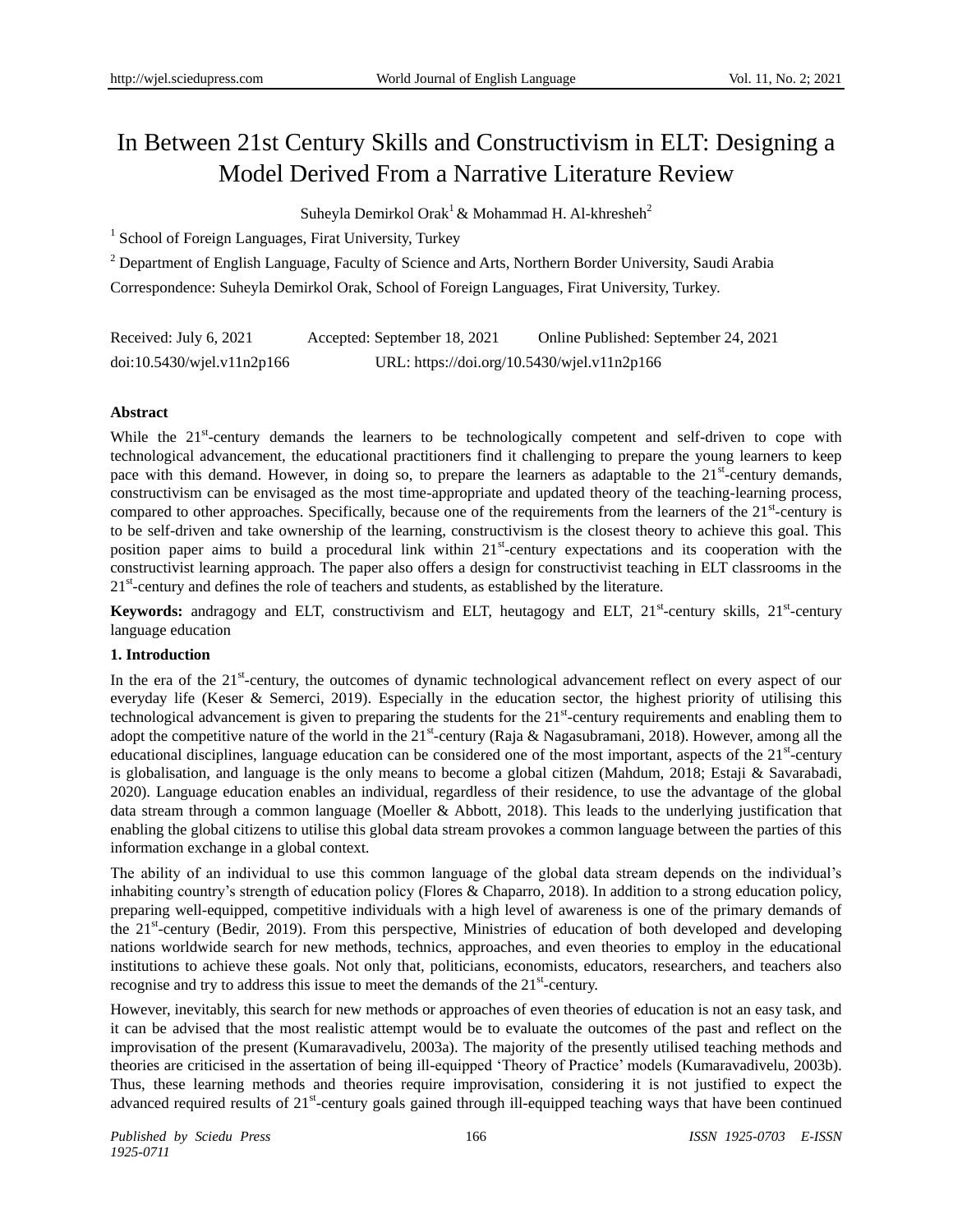# In Between 21st Century Skills and Constructivism in ELT: Designing a Model Derived From a Narrative Literature Review

Suheyla Demirkol Orak<sup>1</sup> & Mohammad H. Al-khresheh<sup>2</sup>

<sup>1</sup> School of Foreign Languages, Firat University, Turkey

<sup>2</sup> Department of English Language, Faculty of Science and Arts, Northern Border University, Saudi Arabia Correspondence: Suheyla Demirkol Orak, School of Foreign Languages, Firat University, Turkey.

| Received: July 6, 2021        | Accepted: September 18, 2021                | Online Published: September 24, 2021 |
|-------------------------------|---------------------------------------------|--------------------------------------|
| $doi:10.5430/w$ jel.v11n2p166 | URL: https://doi.org/10.5430/wjel.v11n2p166 |                                      |

# **Abstract**

While the 21<sup>st</sup>-century demands the learners to be technologically competent and self-driven to cope with technological advancement, the educational practitioners find it challenging to prepare the young learners to keep pace with this demand. However, in doing so, to prepare the learners as adaptable to the 21<sup>st</sup>-century demands, constructivism can be envisaged as the most time-appropriate and updated theory of the teaching-learning process, compared to other approaches. Specifically, because one of the requirements from the learners of the 21<sup>st</sup>-century is to be self-driven and take ownership of the learning, constructivism is the closest theory to achieve this goal. This position paper aims to build a procedural link within 21<sup>st</sup>-century expectations and its cooperation with the constructivist learning approach. The paper also offers a design for constructivist teaching in ELT classrooms in the 21<sup>st</sup>-century and defines the role of teachers and students, as established by the literature.

Keywords: andragogy and ELT, constructivism and ELT, heutagogy and ELT, 21<sup>st</sup>-century skills, 21<sup>st</sup>-century language education

## **1. Introduction**

In the era of the  $21^{st}$ -century, the outcomes of dynamic technological advancement reflect on every aspect of our everyday life (Keser & Semerci, 2019). Especially in the education sector, the highest priority of utilising this technological advancement is given to preparing the students for the  $21<sup>st</sup>$ -century requirements and enabling them to adopt the competitive nature of the world in the  $21^{st}$ -century (Raja & Nagasubramani, 2018). However, among all the educational disciplines, language education can be considered one of the most important, aspects of the 21<sup>st</sup>-century is globalisation, and language is the only means to become a global citizen (Mahdum, 2018; Estaji & Savarabadi, 2020). Language education enables an individual, regardless of their residence, to use the advantage of the global data stream through a common language (Moeller & Abbott, 2018). This leads to the underlying justification that enabling the global citizens to utilise this global data stream provokes a common language between the parties of this information exchange in a global context.

The ability of an individual to use this common language of the global data stream depends on the individual's inhabiting country's strength of education policy (Flores & Chaparro, 2018). In addition to a strong education policy, preparing well-equipped, competitive individuals with a high level of awareness is one of the primary demands of the 21<sup>st</sup>-century (Bedir, 2019). From this perspective, Ministries of education of both developed and developing nations worldwide search for new methods, technics, approaches, and even theories to employ in the educational institutions to achieve these goals. Not only that, politicians, economists, educators, researchers, and teachers also recognise and try to address this issue to meet the demands of the  $21<sup>st</sup>$ -century.

However, inevitably, this search for new methods or approaches of even theories of education is not an easy task, and it can be advised that the most realistic attempt would be to evaluate the outcomes of the past and reflect on the improvisation of the present (Kumaravadivelu, 2003a). The majority of the presently utilised teaching methods and theories are criticised in the assertation of being ill-equipped 'Theory of Practice' models (Kumaravadivelu, 2003b). Thus, these learning methods and theories require improvisation, considering it is not justified to expect the advanced required results of 21<sup>st</sup>-century goals gained through ill-equipped teaching ways that have been continued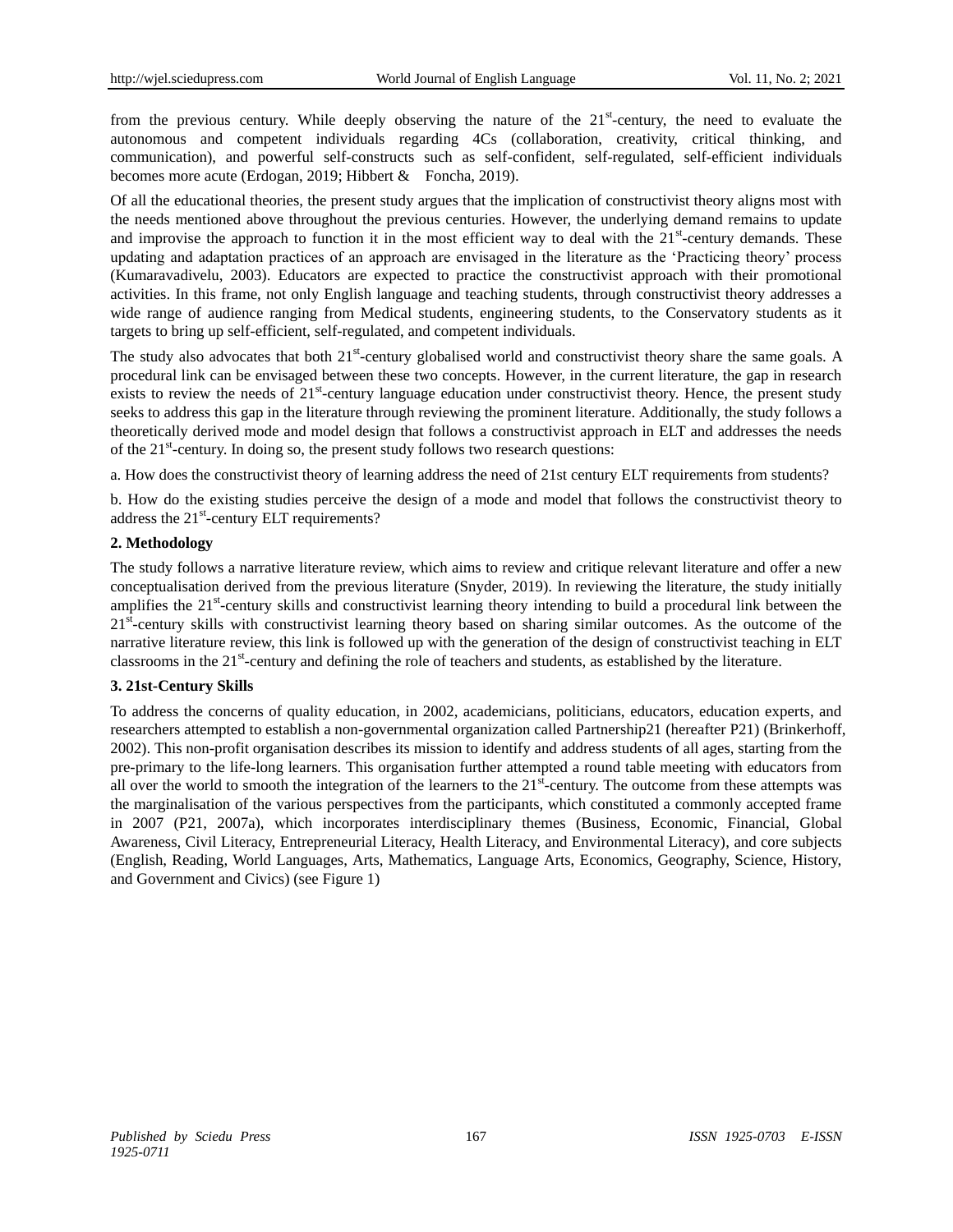from the previous century. While deeply observing the nature of the  $21<sup>st</sup>$ -century, the need to evaluate the autonomous and competent individuals regarding 4Cs (collaboration, creativity, critical thinking, and communication), and powerful self-constructs such as self-confident, self-regulated, self-efficient individuals becomes more acute (Erdogan, 2019; Hibbert & Foncha, 2019).

Of all the educational theories, the present study argues that the implication of constructivist theory aligns most with the needs mentioned above throughout the previous centuries. However, the underlying demand remains to update and improvise the approach to function it in the most efficient way to deal with the  $21<sup>st</sup>$ -century demands. These updating and adaptation practices of an approach are envisaged in the literature as the 'Practicing theory' process (Kumaravadivelu, 2003). Educators are expected to practice the constructivist approach with their promotional activities. In this frame, not only English language and teaching students, through constructivist theory addresses a wide range of audience ranging from Medical students, engineering students, to the Conservatory students as it targets to bring up self-efficient, self-regulated, and competent individuals.

The study also advocates that both  $21<sup>st</sup>$ -century globalised world and constructivist theory share the same goals. A procedural link can be envisaged between these two concepts. However, in the current literature, the gap in research exists to review the needs of 21<sup>st</sup>-century language education under constructivist theory. Hence, the present study seeks to address this gap in the literature through reviewing the prominent literature. Additionally, the study follows a theoretically derived mode and model design that follows a constructivist approach in ELT and addresses the needs of the 21<sup>st</sup>-century. In doing so, the present study follows two research questions:

a. How does the constructivist theory of learning address the need of 21st century ELT requirements from students?

b. How do the existing studies perceive the design of a mode and model that follows the constructivist theory to address the 21<sup>st</sup>-century ELT requirements?

## **2. Methodology**

The study follows a narrative literature review, which aims to review and critique relevant literature and offer a new conceptualisation derived from the previous literature (Snyder, 2019). In reviewing the literature, the study initially amplifies the 21<sup>st</sup>-century skills and constructivist learning theory intending to build a procedural link between the 21<sup>st</sup>-century skills with constructivist learning theory based on sharing similar outcomes. As the outcome of the narrative literature review, this link is followed up with the generation of the design of constructivist teaching in ELT classrooms in the 21<sup>st</sup>-century and defining the role of teachers and students, as established by the literature.

## **3. 21st-Century Skills**

To address the concerns of quality education, in 2002, academicians, politicians, educators, education experts, and researchers attempted to establish a non-governmental organization called Partnership21 (hereafter P21) (Brinkerhoff, 2002). This non-profit organisation describes its mission to identify and address students of all ages, starting from the pre-primary to the life-long learners. This organisation further attempted a round table meeting with educators from all over the world to smooth the integration of the learners to the  $21<sup>st</sup>$ -century. The outcome from these attempts was the marginalisation of the various perspectives from the participants, which constituted a commonly accepted frame in 2007 (P21, 2007a), which incorporates interdisciplinary themes (Business, Economic, Financial, Global Awareness, Civil Literacy, Entrepreneurial Literacy, Health Literacy, and Environmental Literacy), and core subjects (English, Reading, World Languages, Arts, Mathematics, Language Arts, Economics, Geography, Science, History, and Government and Civics) (see Figure 1)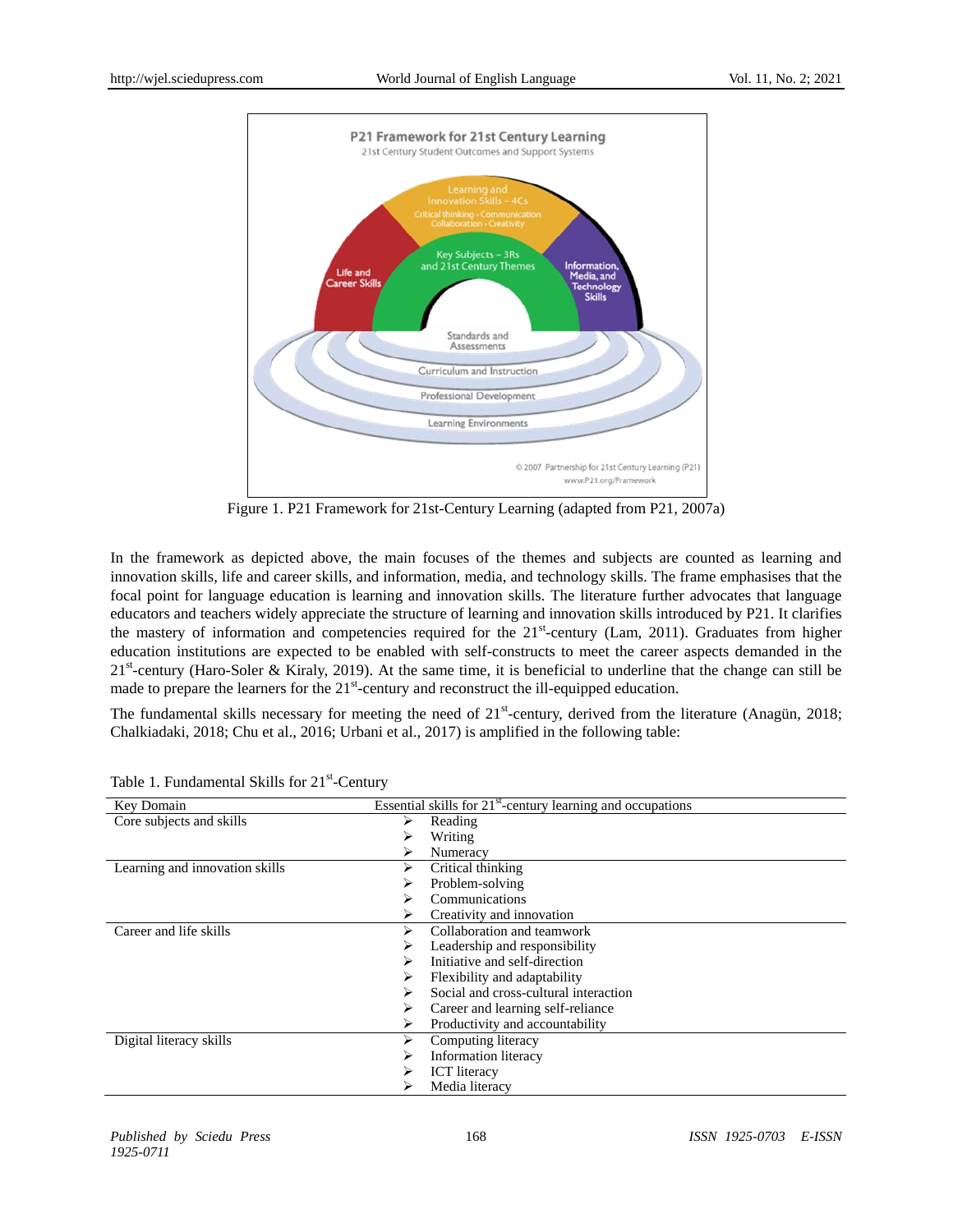

Figure 1. P21 Framework for 21st-Century Learning (adapted from P21, 2007a)

In the framework as depicted above, the main focuses of the themes and subjects are counted as learning and innovation skills, life and career skills, and information, media, and technology skills. The frame emphasises that the focal point for language education is learning and innovation skills. The literature further advocates that language educators and teachers widely appreciate the structure of learning and innovation skills introduced by P21. It clarifies the mastery of information and competencies required for the 21<sup>st</sup>-century (Lam, 2011). Graduates from higher education institutions are expected to be enabled with self-constructs to meet the career aspects demanded in the  $21<sup>st</sup>$ -century (Haro-Soler & Kiraly, 2019). At the same time, it is beneficial to underline that the change can still be made to prepare the learners for the  $21<sup>st</sup>$ -century and reconstruct the ill-equipped education.

The fundamental skills necessary for meeting the need of  $21<sup>st</sup>$ -century, derived from the literature (Anagün, 2018; Chalkiadaki, 2018; Chu et al., 2016; Urbani et al., 2017) is amplified in the following table:

| Key Domain                     | Essential skills for $21st$ -century learning and occupations |  |
|--------------------------------|---------------------------------------------------------------|--|
| Core subjects and skills       | ⋗<br>Reading                                                  |  |
|                                | Writing                                                       |  |
|                                | Numeracy                                                      |  |
| Learning and innovation skills | Critical thinking<br>⋗                                        |  |
|                                | Problem-solving                                               |  |
|                                | Communications                                                |  |
|                                | Creativity and innovation<br>⋗                                |  |
| Career and life skills         | Collaboration and teamwork<br>⋗                               |  |
|                                | Leadership and responsibility                                 |  |
|                                | Initiative and self-direction                                 |  |
|                                | Flexibility and adaptability                                  |  |
|                                | Social and cross-cultural interaction                         |  |
|                                | Career and learning self-reliance<br>⋗                        |  |
|                                | Productivity and accountability<br>⋗                          |  |
| Digital literacy skills        | ⋗<br>Computing literacy                                       |  |
|                                | Information literacy                                          |  |
|                                | <b>ICT</b> literacy                                           |  |
|                                | Media literacy                                                |  |

Table 1. Fundamental Skills for 21<sup>st</sup>-Century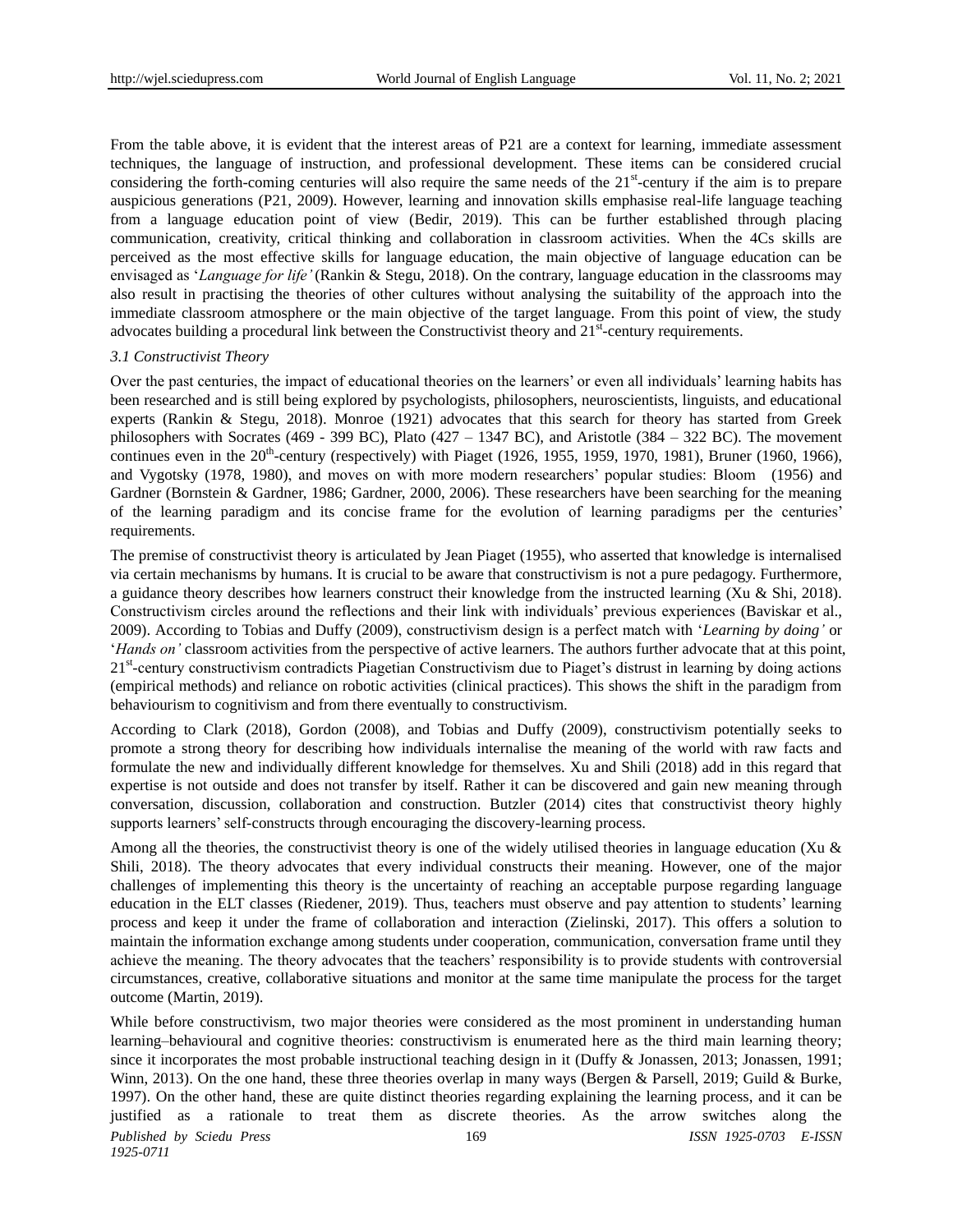From the table above, it is evident that the interest areas of P21 are a context for learning, immediate assessment techniques, the language of instruction, and professional development. These items can be considered crucial considering the forth-coming centuries will also require the same needs of the  $21<sup>st</sup>$ -century if the aim is to prepare auspicious generations (P21, 2009). However, learning and innovation skills emphasise real-life language teaching from a language education point of view (Bedir, 2019). This can be further established through placing communication, creativity, critical thinking and collaboration in classroom activities. When the 4Cs skills are perceived as the most effective skills for language education, the main objective of language education can be envisaged as '*Language for life'* (Rankin & Stegu, 2018). On the contrary, language education in the classrooms may also result in practising the theories of other cultures without analysing the suitability of the approach into the immediate classroom atmosphere or the main objective of the target language. From this point of view, the study advocates building a procedural link between the Constructivist theory and 21<sup>st</sup>-century requirements.

#### *3.1 Constructivist Theory*

Over the past centuries, the impact of educational theories on the learners' or even all individuals' learning habits has been researched and is still being explored by psychologists, philosophers, neuroscientists, linguists, and educational experts (Rankin & Stegu, 2018). Monroe (1921) advocates that this search for theory has started from Greek philosophers with Socrates (469 - 399 BC), Plato (427 – 1347 BC), and Aristotle (384 – 322 BC). The movement continues even in the  $20^{th}$ -century (respectively) with Piaget (1926, 1955, 1959, 1970, 1981), Bruner (1960, 1966), and Vygotsky (1978, 1980), and moves on with more modern researchers' popular studies: Bloom (1956) and Gardner (Bornstein & Gardner, 1986; Gardner, 2000, 2006). These researchers have been searching for the meaning of the learning paradigm and its concise frame for the evolution of learning paradigms per the centuries' requirements.

The premise of constructivist theory is articulated by Jean Piaget (1955), who asserted that knowledge is internalised via certain mechanisms by humans. It is crucial to be aware that constructivism is not a pure pedagogy. Furthermore, a guidance theory describes how learners construct their knowledge from the instructed learning (Xu & Shi, 2018). Constructivism circles around the reflections and their link with individuals' previous experiences (Baviskar et al., 2009). According to Tobias and Duffy (2009), constructivism design is a perfect match with '*Learning by doing'* or '*Hands on'* classroom activities from the perspective of active learners. The authors further advocate that at this point, 21<sup>st</sup>-century constructivism contradicts Piagetian Constructivism due to Piaget's distrust in learning by doing actions (empirical methods) and reliance on robotic activities (clinical practices). This shows the shift in the paradigm from behaviourism to cognitivism and from there eventually to constructivism.

According to Clark (2018), Gordon (2008), and Tobias and Duffy (2009), constructivism potentially seeks to promote a strong theory for describing how individuals internalise the meaning of the world with raw facts and formulate the new and individually different knowledge for themselves. Xu and Shili (2018) add in this regard that expertise is not outside and does not transfer by itself. Rather it can be discovered and gain new meaning through conversation, discussion, collaboration and construction. Butzler (2014) cites that constructivist theory highly supports learners' self-constructs through encouraging the discovery-learning process.

Among all the theories, the constructivist theory is one of the widely utilised theories in language education (Xu  $\&$ Shili, 2018). The theory advocates that every individual constructs their meaning. However, one of the major challenges of implementing this theory is the uncertainty of reaching an acceptable purpose regarding language education in the ELT classes (Riedener, 2019). Thus, teachers must observe and pay attention to students' learning process and keep it under the frame of collaboration and interaction (Zielinski, 2017). This offers a solution to maintain the information exchange among students under cooperation, communication, conversation frame until they achieve the meaning. The theory advocates that the teachers' responsibility is to provide students with controversial circumstances, creative, collaborative situations and monitor at the same time manipulate the process for the target outcome (Martin, 2019).

*Published by Sciedu Press* 169 *ISSN 1925-0703 E-ISSN 1925-0711* While before constructivism, two major theories were considered as the most prominent in understanding human learning–behavioural and cognitive theories: constructivism is enumerated here as the third main learning theory; since it incorporates the most probable instructional teaching design in it (Duffy & Jonassen, 2013; Jonassen, 1991; Winn, 2013). On the one hand, these three theories overlap in many ways (Bergen & Parsell, 2019; Guild & Burke, 1997). On the other hand, these are quite distinct theories regarding explaining the learning process, and it can be justified as a rationale to treat them as discrete theories. As the arrow switches along the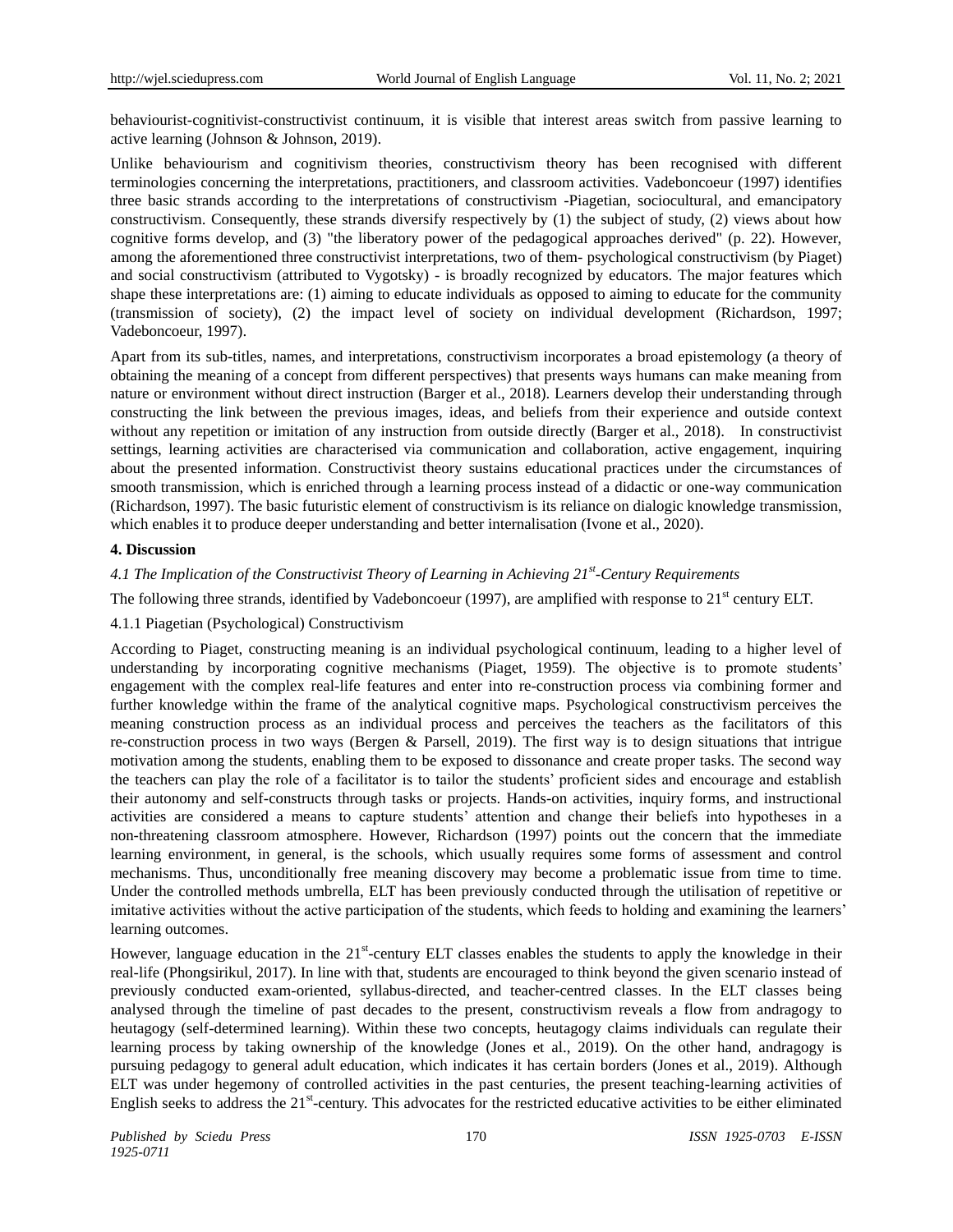behaviourist-cognitivist-constructivist continuum, it is visible that interest areas switch from passive learning to active learning (Johnson & Johnson, 2019).

Unlike behaviourism and cognitivism theories, constructivism theory has been recognised with different terminologies concerning the interpretations, practitioners, and classroom activities. Vadeboncoeur (1997) identifies three basic strands according to the interpretations of constructivism -Piagetian, sociocultural, and emancipatory constructivism. Consequently, these strands diversify respectively by (1) the subject of study, (2) views about how cognitive forms develop, and (3) "the liberatory power of the pedagogical approaches derived" (p. 22). However, among the aforementioned three constructivist interpretations, two of them- psychological constructivism (by Piaget) and social constructivism (attributed to Vygotsky) - is broadly recognized by educators. The major features which shape these interpretations are: (1) aiming to educate individuals as opposed to aiming to educate for the community (transmission of society), (2) the impact level of society on individual development (Richardson, 1997; Vadeboncoeur, 1997).

Apart from its sub-titles, names, and interpretations, constructivism incorporates a broad epistemology (a theory of obtaining the meaning of a concept from different perspectives) that presents ways humans can make meaning from nature or environment without direct instruction (Barger et al., 2018). Learners develop their understanding through constructing the link between the previous images, ideas, and beliefs from their experience and outside context without any repetition or imitation of any instruction from outside directly (Barger et al., 2018). In constructivist settings, learning activities are characterised via communication and collaboration, active engagement, inquiring about the presented information. Constructivist theory sustains educational practices under the circumstances of smooth transmission, which is enriched through a learning process instead of a didactic or one-way communication (Richardson, 1997). The basic futuristic element of constructivism is its reliance on dialogic knowledge transmission, which enables it to produce deeper understanding and better internalisation (Ivone et al., 2020).

## **4. Discussion**

# *4.1 The Implication of the Constructivist Theory of Learning in Achieving 21st -Century Requirements*

The following three strands, identified by Vadeboncoeur (1997), are amplified with response to  $21<sup>st</sup>$  century ELT.

## 4.1.1 Piagetian (Psychological) Constructivism

According to Piaget, constructing meaning is an individual psychological continuum, leading to a higher level of understanding by incorporating cognitive mechanisms (Piaget, 1959). The objective is to promote students' engagement with the complex real-life features and enter into re-construction process via combining former and further knowledge within the frame of the analytical cognitive maps. Psychological constructivism perceives the meaning construction process as an individual process and perceives the teachers as the facilitators of this re-construction process in two ways (Bergen & Parsell, 2019). The first way is to design situations that intrigue motivation among the students, enabling them to be exposed to dissonance and create proper tasks. The second way the teachers can play the role of a facilitator is to tailor the students' proficient sides and encourage and establish their autonomy and self-constructs through tasks or projects. Hands-on activities, inquiry forms, and instructional activities are considered a means to capture students' attention and change their beliefs into hypotheses in a non-threatening classroom atmosphere. However, Richardson (1997) points out the concern that the immediate learning environment, in general, is the schools, which usually requires some forms of assessment and control mechanisms. Thus, unconditionally free meaning discovery may become a problematic issue from time to time. Under the controlled methods umbrella, ELT has been previously conducted through the utilisation of repetitive or imitative activities without the active participation of the students, which feeds to holding and examining the learners' learning outcomes.

However, language education in the  $21<sup>st</sup>$ -century ELT classes enables the students to apply the knowledge in their real-life (Phongsirikul, 2017). In line with that, students are encouraged to think beyond the given scenario instead of previously conducted exam-oriented, syllabus-directed, and teacher-centred classes. In the ELT classes being analysed through the timeline of past decades to the present, constructivism reveals a flow from andragogy to heutagogy (self-determined learning). Within these two concepts, heutagogy claims individuals can regulate their learning process by taking ownership of the knowledge (Jones et al., 2019). On the other hand, andragogy is pursuing pedagogy to general adult education, which indicates it has certain borders (Jones et al., 2019). Although ELT was under hegemony of controlled activities in the past centuries, the present teaching-learning activities of English seeks to address the 21<sup>st</sup>-century. This advocates for the restricted educative activities to be either eliminated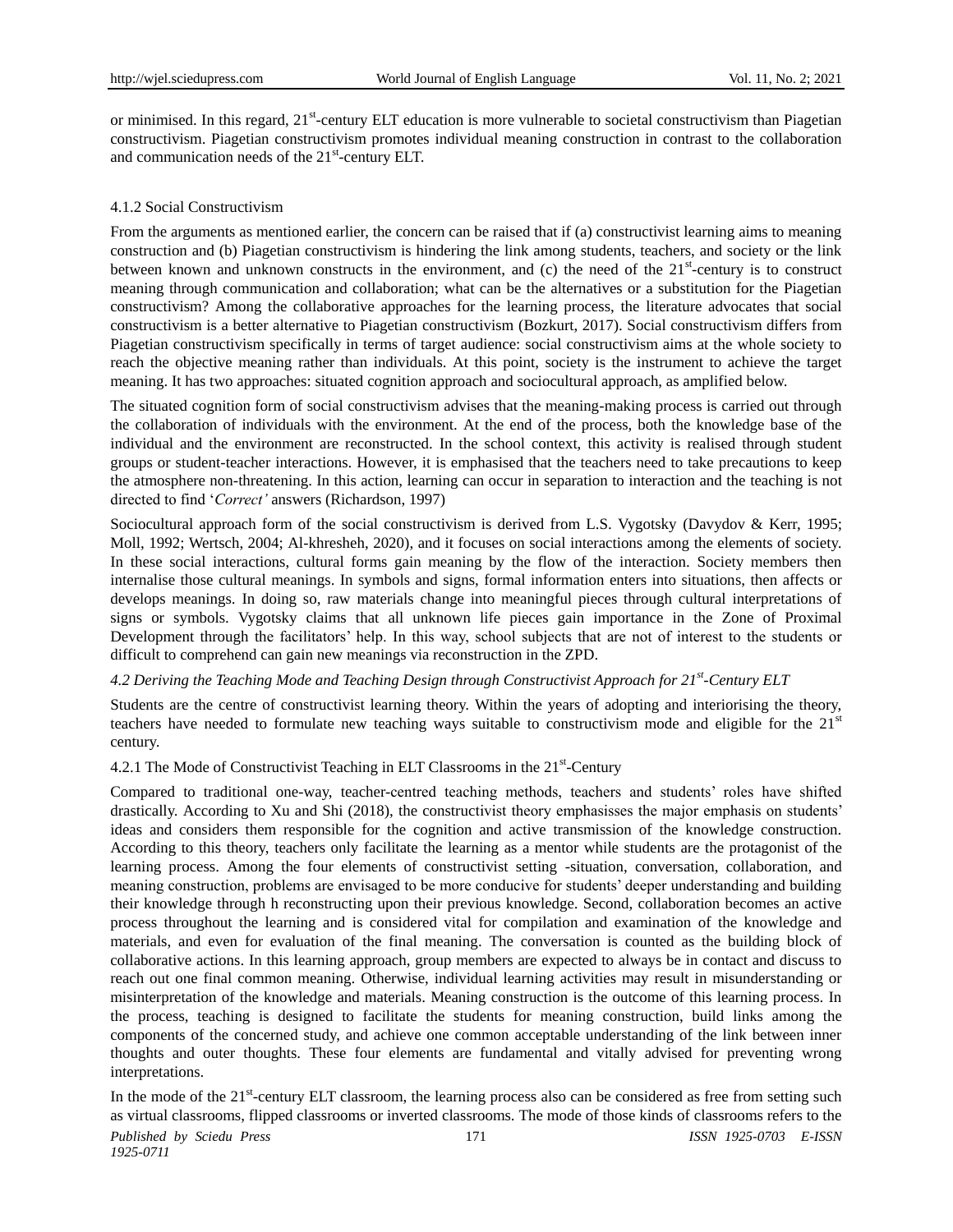or minimised. In this regard, 21<sup>st</sup>-century ELT education is more vulnerable to societal constructivism than Piagetian constructivism. Piagetian constructivism promotes individual meaning construction in contrast to the collaboration and communication needs of the 21<sup>st</sup>-century ELT.

## 4.1.2 Social Constructivism

From the arguments as mentioned earlier, the concern can be raised that if (a) constructivist learning aims to meaning construction and (b) Piagetian constructivism is hindering the link among students, teachers, and society or the link between known and unknown constructs in the environment, and (c) the need of the 21<sup>st</sup>-century is to construct meaning through communication and collaboration; what can be the alternatives or a substitution for the Piagetian constructivism? Among the collaborative approaches for the learning process, the literature advocates that social constructivism is a better alternative to Piagetian constructivism (Bozkurt, 2017). Social constructivism differs from Piagetian constructivism specifically in terms of target audience: social constructivism aims at the whole society to reach the objective meaning rather than individuals. At this point, society is the instrument to achieve the target meaning. It has two approaches: situated cognition approach and sociocultural approach, as amplified below.

The situated cognition form of social constructivism advises that the meaning-making process is carried out through the collaboration of individuals with the environment. At the end of the process, both the knowledge base of the individual and the environment are reconstructed. In the school context, this activity is realised through student groups or student-teacher interactions. However, it is emphasised that the teachers need to take precautions to keep the atmosphere non-threatening. In this action, learning can occur in separation to interaction and the teaching is not directed to find '*Correct'* answers (Richardson, 1997)

Sociocultural approach form of the social constructivism is derived from L.S. Vygotsky (Davydov & Kerr, 1995; Moll, 1992; Wertsch, 2004; Al-khresheh, 2020), and it focuses on social interactions among the elements of society. In these social interactions, cultural forms gain meaning by the flow of the interaction. Society members then internalise those cultural meanings. In symbols and signs, formal information enters into situations, then affects or develops meanings. In doing so, raw materials change into meaningful pieces through cultural interpretations of signs or symbols. Vygotsky claims that all unknown life pieces gain importance in the Zone of Proximal Development through the facilitators' help. In this way, school subjects that are not of interest to the students or difficult to comprehend can gain new meanings via reconstruction in the ZPD.

# *4.2 Deriving the Teaching Mode and Teaching Design through Constructivist Approach for 21st -Century ELT*

Students are the centre of constructivist learning theory. Within the years of adopting and interiorising the theory, teachers have needed to formulate new teaching ways suitable to constructivism mode and eligible for the  $21<sup>st</sup>$ century.

4.2.1 The Mode of Constructivist Teaching in ELT Classrooms in the 21<sup>st</sup>-Century

Compared to traditional one-way, teacher-centred teaching methods, teachers and students' roles have shifted drastically. According to Xu and Shi (2018), the constructivist theory emphasisses the major emphasis on students' ideas and considers them responsible for the cognition and active transmission of the knowledge construction. According to this theory, teachers only facilitate the learning as a mentor while students are the protagonist of the learning process. Among the four elements of constructivist setting -situation, conversation, collaboration, and meaning construction, problems are envisaged to be more conducive for students' deeper understanding and building their knowledge through h reconstructing upon their previous knowledge. Second, collaboration becomes an active process throughout the learning and is considered vital for compilation and examination of the knowledge and materials, and even for evaluation of the final meaning. The conversation is counted as the building block of collaborative actions. In this learning approach, group members are expected to always be in contact and discuss to reach out one final common meaning. Otherwise, individual learning activities may result in misunderstanding or misinterpretation of the knowledge and materials. Meaning construction is the outcome of this learning process. In the process, teaching is designed to facilitate the students for meaning construction, build links among the components of the concerned study, and achieve one common acceptable understanding of the link between inner thoughts and outer thoughts. These four elements are fundamental and vitally advised for preventing wrong interpretations.

*Published by Sciedu Press* 171 *ISSN 1925-0703 E-ISSN*  In the mode of the 21<sup>st</sup>-century ELT classroom, the learning process also can be considered as free from setting such as virtual classrooms, flipped classrooms or inverted classrooms. The mode of those kinds of classrooms refers to the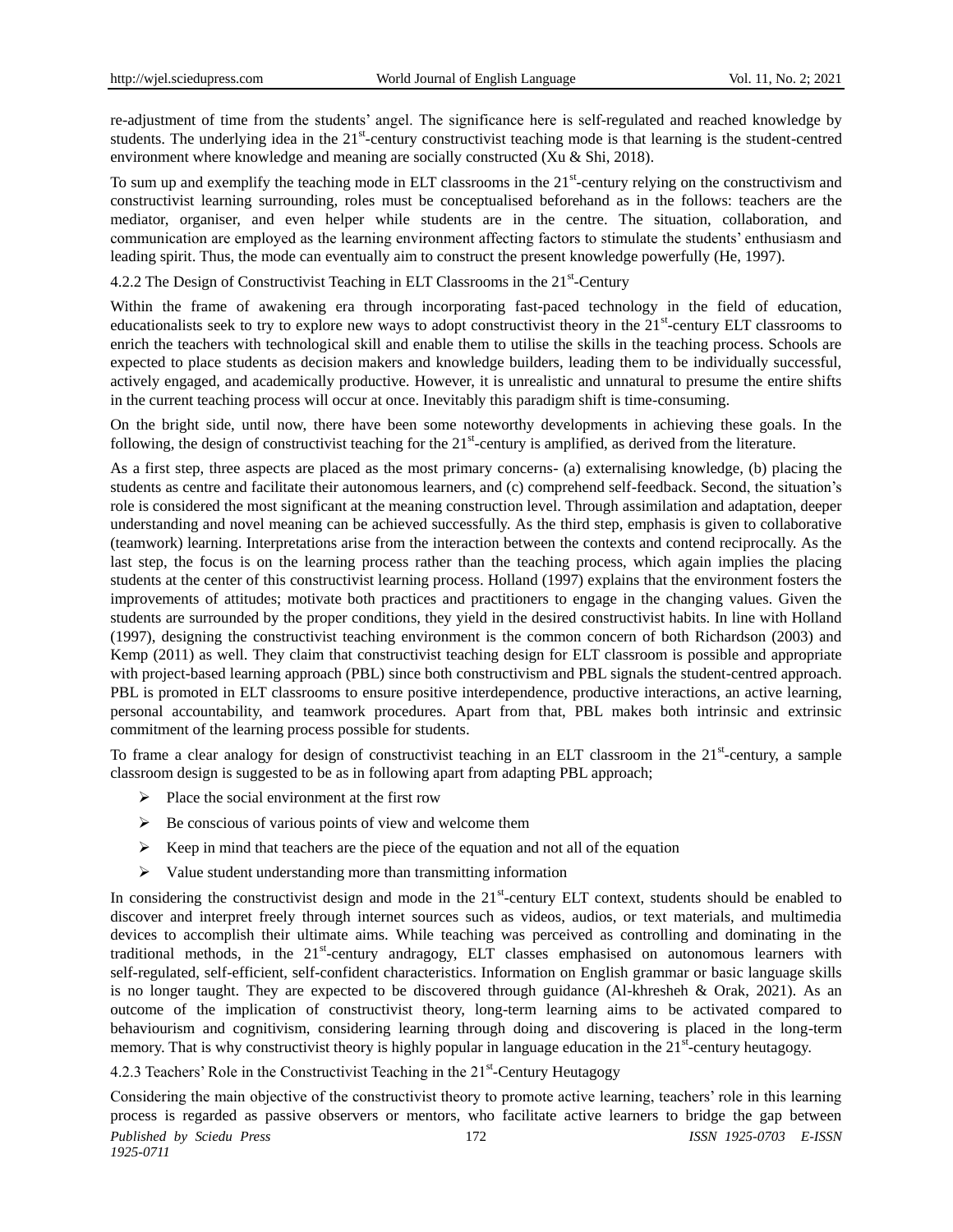re-adjustment of time from the students' angel. The significance here is self-regulated and reached knowledge by students. The underlying idea in the 21<sup>st</sup>-century constructivist teaching mode is that learning is the student-centred environment where knowledge and meaning are socially constructed (Xu & Shi, 2018).

To sum up and exemplify the teaching mode in ELT classrooms in the  $21<sup>st</sup>$ -century relying on the constructivism and constructivist learning surrounding, roles must be conceptualised beforehand as in the follows: teachers are the mediator, organiser, and even helper while students are in the centre. The situation, collaboration, and communication are employed as the learning environment affecting factors to stimulate the students' enthusiasm and leading spirit. Thus, the mode can eventually aim to construct the present knowledge powerfully (He, 1997).

4.2.2 The Design of Constructivist Teaching in ELT Classrooms in the 21st-Century

Within the frame of awakening era through incorporating fast-paced technology in the field of education, educationalists seek to try to explore new ways to adopt constructivist theory in the 21<sup>st</sup>-century ELT classrooms to enrich the teachers with technological skill and enable them to utilise the skills in the teaching process. Schools are expected to place students as decision makers and knowledge builders, leading them to be individually successful, actively engaged, and academically productive. However, it is unrealistic and unnatural to presume the entire shifts in the current teaching process will occur at once. Inevitably this paradigm shift is time-consuming.

On the bright side, until now, there have been some noteworthy developments in achieving these goals. In the following, the design of constructivist teaching for the  $21<sup>st</sup>$ -century is amplified, as derived from the literature.

As a first step, three aspects are placed as the most primary concerns- (a) externalising knowledge, (b) placing the students as centre and facilitate their autonomous learners, and (c) comprehend self-feedback. Second, the situation's role is considered the most significant at the meaning construction level. Through assimilation and adaptation, deeper understanding and novel meaning can be achieved successfully. As the third step, emphasis is given to collaborative (teamwork) learning. Interpretations arise from the interaction between the contexts and contend reciprocally. As the last step, the focus is on the learning process rather than the teaching process, which again implies the placing students at the center of this constructivist learning process. Holland (1997) explains that the environment fosters the improvements of attitudes; motivate both practices and practitioners to engage in the changing values. Given the students are surrounded by the proper conditions, they yield in the desired constructivist habits. In line with Holland (1997), designing the constructivist teaching environment is the common concern of both Richardson (2003) and Kemp (2011) as well. They claim that constructivist teaching design for ELT classroom is possible and appropriate with project-based learning approach (PBL) since both constructivism and PBL signals the student-centred approach. PBL is promoted in ELT classrooms to ensure positive interdependence, productive interactions, an active learning, personal accountability, and teamwork procedures. Apart from that, PBL makes both intrinsic and extrinsic commitment of the learning process possible for students.

To frame a clear analogy for design of constructivist teaching in an ELT classroom in the  $21<sup>st</sup>$ -century, a sample classroom design is suggested to be as in following apart from adapting PBL approach;

- $\triangleright$  Place the social environment at the first row
- $\triangleright$  Be conscious of various points of view and welcome them
- $\triangleright$  Keep in mind that teachers are the piece of the equation and not all of the equation
- $\triangleright$  Value student understanding more than transmitting information

In considering the constructivist design and mode in the  $21<sup>st</sup>$ -century ELT context, students should be enabled to discover and interpret freely through internet sources such as videos, audios, or text materials, and multimedia devices to accomplish their ultimate aims. While teaching was perceived as controlling and dominating in the traditional methods, in the 21<sup>st</sup>-century andragogy, ELT classes emphasised on autonomous learners with self-regulated, self-efficient, self-confident characteristics. Information on English grammar or basic language skills is no longer taught. They are expected to be discovered through guidance (Al-khresheh & Orak, 2021). As an outcome of the implication of constructivist theory, long-term learning aims to be activated compared to behaviourism and cognitivism, considering learning through doing and discovering is placed in the long-term memory. That is why constructivist theory is highly popular in language education in the 21<sup>st</sup>-century heutagogy.

4.2.3 Teachers' Role in the Constructivist Teaching in the 21<sup>st</sup>-Century Heutagogy

*Published by Sciedu Press* 172 *ISSN 1925-0703 E-ISSN 1925-0711* Considering the main objective of the constructivist theory to promote active learning, teachers' role in this learning process is regarded as passive observers or mentors, who facilitate active learners to bridge the gap between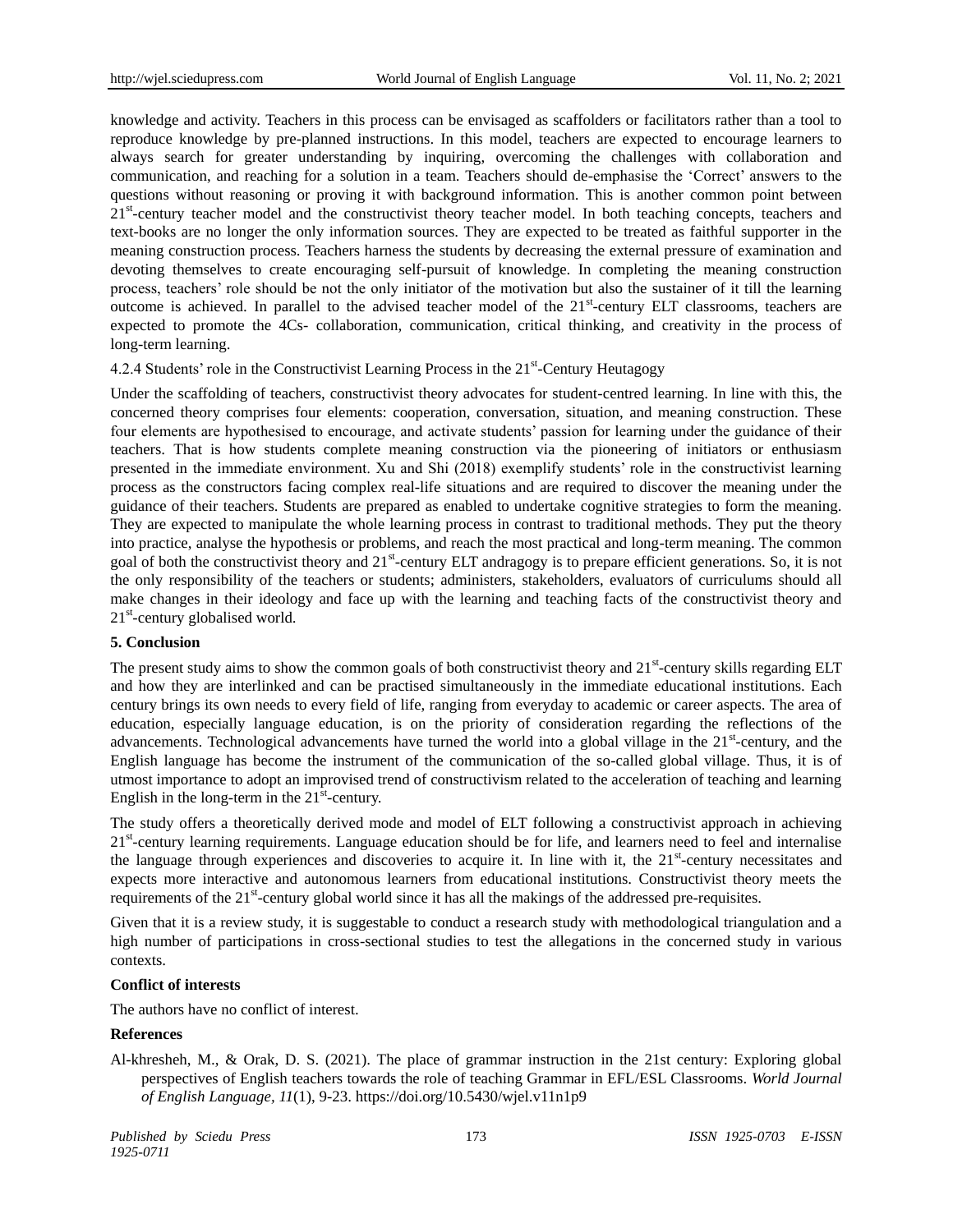knowledge and activity. Teachers in this process can be envisaged as scaffolders or facilitators rather than a tool to reproduce knowledge by pre-planned instructions. In this model, teachers are expected to encourage learners to always search for greater understanding by inquiring, overcoming the challenges with collaboration and communication, and reaching for a solution in a team. Teachers should de-emphasise the 'Correct' answers to the questions without reasoning or proving it with background information. This is another common point between 21<sup>st</sup>-century teacher model and the constructivist theory teacher model. In both teaching concepts, teachers and text-books are no longer the only information sources. They are expected to be treated as faithful supporter in the meaning construction process. Teachers harness the students by decreasing the external pressure of examination and devoting themselves to create encouraging self-pursuit of knowledge. In completing the meaning construction process, teachers' role should be not the only initiator of the motivation but also the sustainer of it till the learning outcome is achieved. In parallel to the advised teacher model of the 21<sup>st</sup>-century ELT classrooms, teachers are expected to promote the 4Cs- collaboration, communication, critical thinking, and creativity in the process of long-term learning.

4.2.4 Students' role in the Constructivist Learning Process in the 21<sup>st</sup>-Century Heutagogy

Under the scaffolding of teachers, constructivist theory advocates for student-centred learning. In line with this, the concerned theory comprises four elements: cooperation, conversation, situation, and meaning construction. These four elements are hypothesised to encourage, and activate students' passion for learning under the guidance of their teachers. That is how students complete meaning construction via the pioneering of initiators or enthusiasm presented in the immediate environment. Xu and Shi (2018) exemplify students' role in the constructivist learning process as the constructors facing complex real-life situations and are required to discover the meaning under the guidance of their teachers. Students are prepared as enabled to undertake cognitive strategies to form the meaning. They are expected to manipulate the whole learning process in contrast to traditional methods. They put the theory into practice, analyse the hypothesis or problems, and reach the most practical and long-term meaning. The common goal of both the constructivist theory and 21<sup>st</sup>-century ELT andragogy is to prepare efficient generations. So, it is not the only responsibility of the teachers or students; administers, stakeholders, evaluators of curriculums should all make changes in their ideology and face up with the learning and teaching facts of the constructivist theory and 21<sup>st</sup>-century globalised world.

## **5. Conclusion**

The present study aims to show the common goals of both constructivist theory and 21<sup>st</sup>-century skills regarding ELT and how they are interlinked and can be practised simultaneously in the immediate educational institutions. Each century brings its own needs to every field of life, ranging from everyday to academic or career aspects. The area of education, especially language education, is on the priority of consideration regarding the reflections of the advancements. Technological advancements have turned the world into a global village in the  $21<sup>st</sup>$ -century, and the English language has become the instrument of the communication of the so-called global village. Thus, it is of utmost importance to adopt an improvised trend of constructivism related to the acceleration of teaching and learning English in the long-term in the  $21<sup>st</sup>$ -century.

The study offers a theoretically derived mode and model of ELT following a constructivist approach in achieving 21<sup>st</sup>-century learning requirements. Language education should be for life, and learners need to feel and internalise the language through experiences and discoveries to acquire it. In line with it, the  $21<sup>st</sup>$ -century necessitates and expects more interactive and autonomous learners from educational institutions. Constructivist theory meets the requirements of the 21<sup>st</sup>-century global world since it has all the makings of the addressed pre-requisites.

Given that it is a review study, it is suggestable to conduct a research study with methodological triangulation and a high number of participations in cross-sectional studies to test the allegations in the concerned study in various contexts.

## **Conflict of interests**

The authors have no conflict of interest.

#### **References**

Al-khresheh, M., & Orak, D. S. (2021). The place of grammar instruction in the 21st century: Exploring global perspectives of English teachers towards the role of teaching Grammar in EFL/ESL Classrooms. *World Journal of English Language, 11*(1), 9-23[. https://doi.org/10.5430/wjel.v11n1p9](https://doi.org/10.5430/wjel.v11n1p9)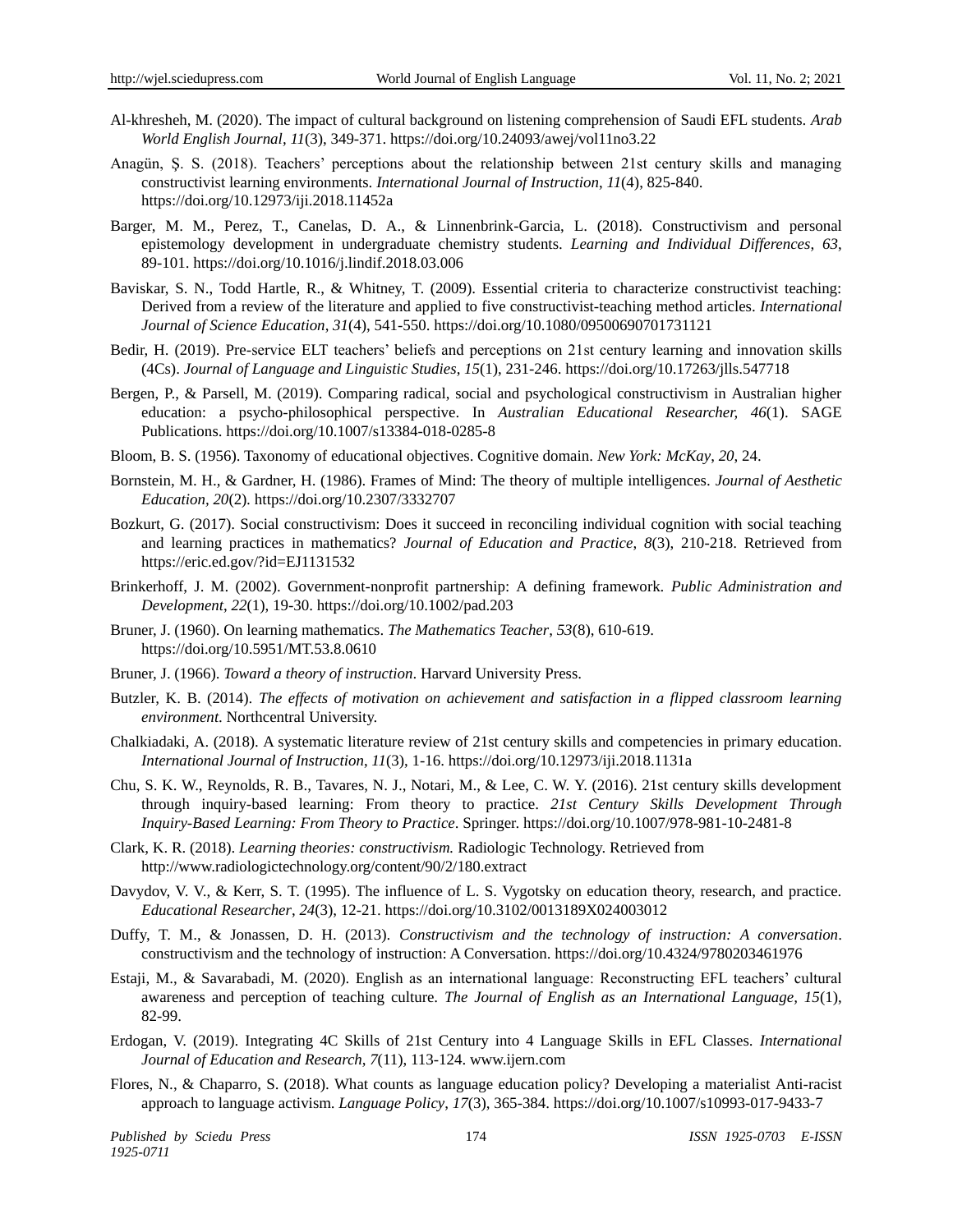- Al-khresheh, M. (2020). The impact of cultural background on listening comprehension of Saudi EFL students. *Arab World English Journal, 11*(3), 349-371. https://doi.org/10.24093/awej/vol11no3.22
- Anagün, Ş. S. (2018). Teachers' perceptions about the relationship between 21st century skills and managing constructivist learning environments. *International Journal of Instruction*, *11*(4), 825-840. https://doi.org/10.12973/iji.2018.11452a
- Barger, M. M., Perez, T., Canelas, D. A., & Linnenbrink-Garcia, L. (2018). Constructivism and personal epistemology development in undergraduate chemistry students. *Learning and Individual Differences*, *63*, 89-101. https://doi.org/10.1016/j.lindif.2018.03.006
- Baviskar, S. N., Todd Hartle, R., & Whitney, T. (2009). Essential criteria to characterize constructivist teaching: Derived from a review of the literature and applied to five constructivist-teaching method articles. *International Journal of Science Education*, *31*(4), 541-550. https://doi.org/10.1080/09500690701731121
- Bedir, H. (2019). Pre-service ELT teachers' beliefs and perceptions on 21st century learning and innovation skills (4Cs). *Journal of Language and Linguistic Studies*, *15*(1), 231-246. https://doi.org/10.17263/jlls.547718
- Bergen, P., & Parsell, M. (2019). Comparing radical, social and psychological constructivism in Australian higher education: a psycho-philosophical perspective. In *Australian Educational Researcher, 46*(1). SAGE Publications. https://doi.org/10.1007/s13384-018-0285-8
- Bloom, B. S. (1956). Taxonomy of educational objectives. Cognitive domain. *New York: McKay*, *20*, 24.
- Bornstein, M. H., & Gardner, H. (1986). Frames of Mind: The theory of multiple intelligences. *Journal of Aesthetic Education, 20*(2)*.* https://doi.org/10.2307/3332707
- Bozkurt, G. (2017). Social constructivism: Does it succeed in reconciling individual cognition with social teaching and learning practices in mathematics? *Journal of Education and Practice*, *8*(3), 210-218. Retrieved from https://eric.ed.gov/?id=EJ1131532
- Brinkerhoff, J. M. (2002). Government-nonprofit partnership: A defining framework. *Public Administration and Development*, *22*(1), 19-30. https://doi.org/10.1002/pad.203
- Bruner, J. (1960). On learning mathematics. *The Mathematics Teacher*, *53*(8), 610-619. https://doi.org/10.5951/MT.53.8.0610
- Bruner, J. (1966). *Toward a theory of instruction*. Harvard University Press.
- Butzler, K. B. (2014). *The effects of motivation on achievement and satisfaction in a flipped classroom learning environment*. Northcentral University.
- Chalkiadaki, A. (2018). A systematic literature review of 21st century skills and competencies in primary education. *International Journal of Instruction*, *11*(3), 1-16. https://doi.org/10.12973/iji.2018.1131a
- Chu, S. K. W., Reynolds, R. B., Tavares, N. J., Notari, M., & Lee, C. W. Y. (2016). 21st century skills development through inquiry-based learning: From theory to practice. *21st Century Skills Development Through Inquiry-Based Learning: From Theory to Practice*. Springer. https://doi.org/10.1007/978-981-10-2481-8
- Clark, K. R. (2018). *Learning theories: constructivism.* Radiologic Technology. Retrieved from http://www.radiologictechnology.org/content/90/2/180.extract
- Davydov, V. V., & Kerr, S. T. (1995). The influence of L. S. Vygotsky on education theory, research, and practice. *Educational Researcher*, *24*(3), 12-21. https://doi.org/10.3102/0013189X024003012
- Duffy, T. M., & Jonassen, D. H. (2013). *Constructivism and the technology of instruction: A conversation*. constructivism and the technology of instruction: A Conversation. https://doi.org/10.4324/9780203461976
- Estaji, M., & Savarabadi, M. (2020). English as an international language: Reconstructing EFL teachers' cultural awareness and perception of teaching culture. *The Journal of English as an International Language, 15*(1), 82-99.
- Erdogan, V. (2019). Integrating 4C Skills of 21st Century into 4 Language Skills in EFL Classes. *International Journal of Education and Research*, *7*(11), 113-124. www.ijern.com
- Flores, N., & Chaparro, S. (2018). What counts as language education policy? Developing a materialist Anti-racist approach to language activism. *Language Policy*, *17*(3), 365-384. https://doi.org/10.1007/s10993-017-9433-7

*1925-0711*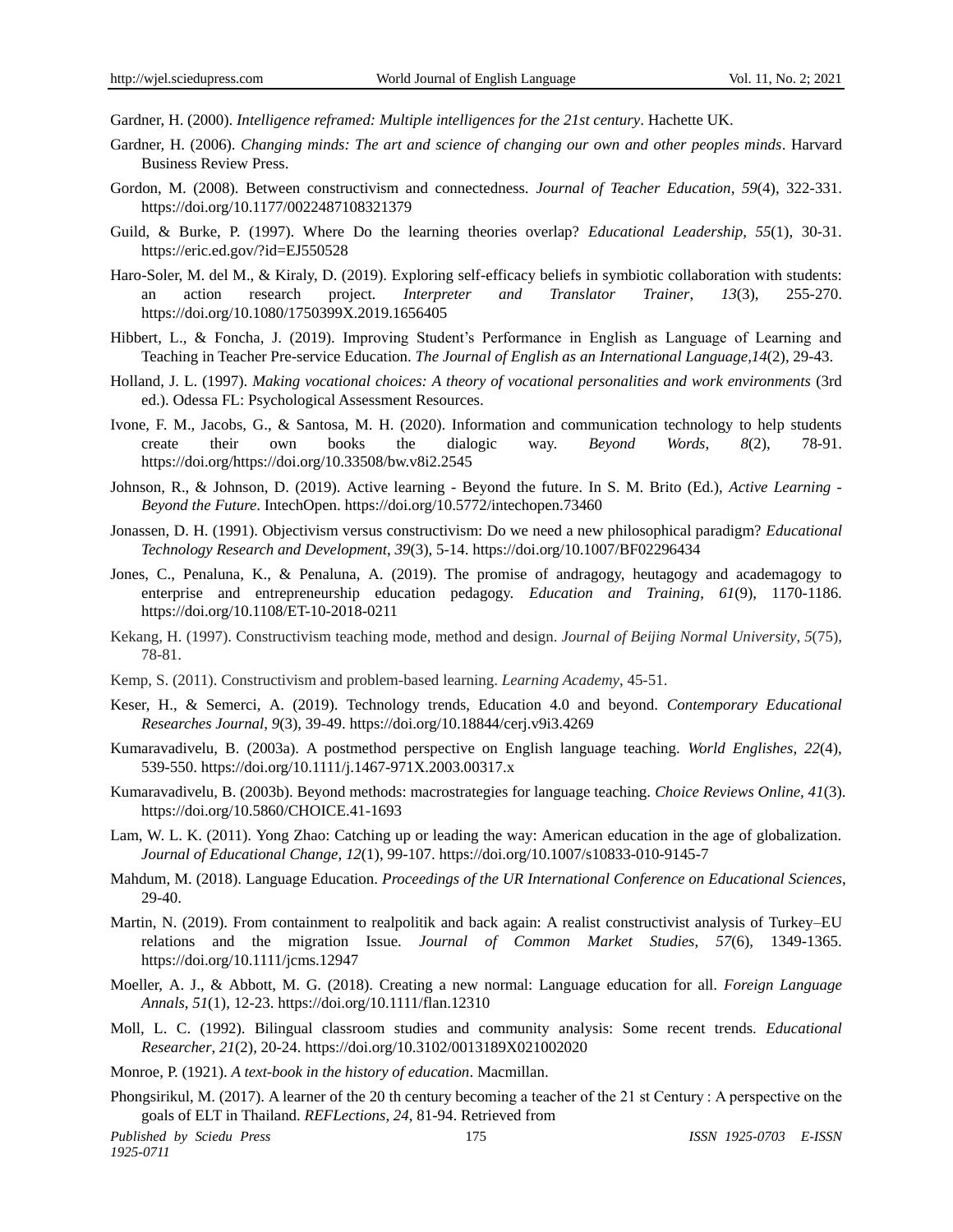Gardner, H. (2000). *Intelligence reframed: Multiple intelligences for the 21st century*. Hachette UK.

- Gardner, H. (2006). *Changing minds: The art and science of changing our own and other peoples minds*. Harvard Business Review Press.
- Gordon, M. (2008). Between constructivism and connectedness. *Journal of Teacher Education*, *59*(4), 322-331. https://doi.org/10.1177/0022487108321379
- Guild, & Burke, P. (1997). Where Do the learning theories overlap? *Educational Leadership*, *55*(1), 30-31. https://eric.ed.gov/?id=EJ550528
- Haro-Soler, M. del M., & Kiraly, D. (2019). Exploring self-efficacy beliefs in symbiotic collaboration with students: an action research project. *Interpreter and Translator Trainer*, *13*(3), 255-270. https://doi.org/10.1080/1750399X.2019.1656405
- Hibbert, L., & Foncha, J. (2019). Improving Student's Performance in English as Language of Learning and Teaching in Teacher Pre-service Education. *The Journal of English as an International Language,14*(2), 29-43.
- Holland, J. L. (1997). *Making vocational choices: A theory of vocational personalities and work environments* (3rd ed.). Odessa FL: Psychological Assessment Resources.
- Ivone, F. M., Jacobs, G., & Santosa, M. H. (2020). Information and communication technology to help students create their own books the dialogic way. *Beyond Words*, *8*(2), 78-91. https://doi.org/https://doi.org/10.33508/bw.v8i2.2545
- Johnson, R., & Johnson, D. (2019). Active learning Beyond the future. In S. M. Brito (Ed.), *Active Learning - Beyond the Future*. IntechOpen. https://doi.org/10.5772/intechopen.73460
- Jonassen, D. H. (1991). Objectivism versus constructivism: Do we need a new philosophical paradigm? *Educational Technology Research and Development*, *39*(3), 5-14. https://doi.org/10.1007/BF02296434
- Jones, C., Penaluna, K., & Penaluna, A. (2019). The promise of andragogy, heutagogy and academagogy to enterprise and entrepreneurship education pedagogy. *Education and Training*, *61*(9), 1170-1186. https://doi.org/10.1108/ET-10-2018-0211
- Kekang, H. (1997). Constructivism teaching mode, method and design. *Journal of Beijing Normal University*, *5*(75), 78-81.
- Kemp, S. (2011). Constructivism and problem-based learning. *Learning Academy*, 45-51.
- Keser, H., & Semerci, A. (2019). Technology trends, Education 4.0 and beyond. *Contemporary Educational Researches Journal*, *9*(3), 39-49. https://doi.org/10.18844/cerj.v9i3.4269
- Kumaravadivelu, B. (2003a). A postmethod perspective on English language teaching. *World Englishes*, *22*(4), 539-550. https://doi.org/10.1111/j.1467-971X.2003.00317.x
- Kumaravadivelu, B. (2003b). Beyond methods: macrostrategies for language teaching. *Choice Reviews Online, 41*(3). https://doi.org/10.5860/CHOICE.41-1693
- Lam, W. L. K. (2011). Yong Zhao: Catching up or leading the way: American education in the age of globalization. *Journal of Educational Change, 12*(1), 99-107. https://doi.org/10.1007/s10833-010-9145-7
- Mahdum, M. (2018). Language Education. *Proceedings of the UR International Conference on Educational Sciences*, 29-40.
- Martin, N. (2019). From containment to realpolitik and back again: A realist constructivist analysis of Turkey–EU relations and the migration Issue. *Journal of Common Market Studies*, *57*(6), 1349-1365. https://doi.org/10.1111/jcms.12947
- Moeller, A. J., & Abbott, M. G. (2018). Creating a new normal: Language education for all. *Foreign Language Annals*, *51*(1), 12-23. https://doi.org/10.1111/flan.12310
- Moll, L. C. (1992). Bilingual classroom studies and community analysis: Some recent trends. *Educational Researcher*, *21*(2), 20-24. https://doi.org/10.3102/0013189X021002020
- Monroe, P. (1921). *A text-book in the history of education*. Macmillan.
- Phongsirikul, M. (2017). A learner of the 20 th century becoming a teacher of the 21 st Century : A perspective on the goals of ELT in Thailand. *REFLections*, *24*, 81-94. Retrieved from

*Published by Sciedu Press* 175 *ISSN 1925-0703 E-ISSN 1925-0711*